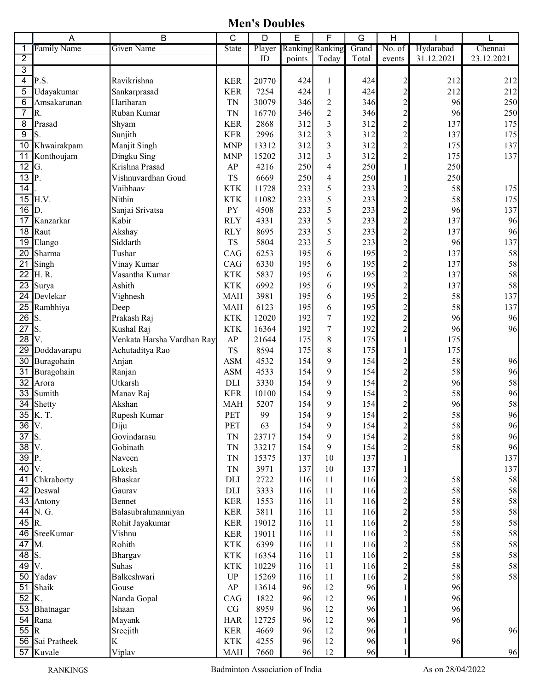Men's Doubles

|                         | A               | В                          | C                      | D      | E      | F                       | G     | $\mathsf{H}$            |            |            |
|-------------------------|-----------------|----------------------------|------------------------|--------|--------|-------------------------|-------|-------------------------|------------|------------|
| 1                       | Family Name     | <b>Given Name</b>          | <b>State</b>           | Player |        | Ranking Ranking         | Grand | No. of                  | Hydarabad  | Chennai    |
| $\overline{2}$          |                 |                            |                        | ID     | points | Today                   | Total | events                  | 31.12.2021 | 23.12.2021 |
| $\overline{3}$          |                 |                            |                        |        |        |                         |       |                         |            |            |
| $\overline{\mathbf{4}}$ | P.S.            | Ravikrishna                | <b>KER</b>             | 20770  | 424    | $\mathbf{1}$            | 424   | $\overline{c}$          | 212        | 212        |
| 5                       | Udayakumar      | Sankarprasad               | <b>KER</b>             | 7254   | 424    | $\mathbf{1}$            | 424   | $\overline{c}$          | 212        | 212        |
| 6                       | Amsakarunan     | Hariharan                  | <b>TN</b>              | 30079  | 346    | $\sqrt{2}$              | 346   | $\overline{c}$          | 96         | 250        |
| $\overline{7}$          | R.              | Ruban Kumar                | <b>TN</b>              | 16770  | 346    | $\overline{2}$          | 346   | $\overline{c}$          | 96         | 250        |
| 8                       | Prasad          | Shyam                      | <b>KER</b>             | 2868   | 312    | 3                       | 312   | $\overline{c}$          | 137        | 175        |
| $\overline{9}$          | S.              | Sunjith                    | <b>KER</b>             | 2996   | 312    | 3                       | 312   | $\overline{c}$          | 137        | 175        |
| 10                      | Khwairakpam     | Manjit Singh               | <b>MNP</b>             | 13312  | 312    | $\overline{\mathbf{3}}$ | 312   | $\overline{c}$          | 175        | 137        |
| 11                      | Konthoujam      | Dingku Sing                | <b>MNP</b>             | 15202  | 312    | 3                       | 312   | $\overline{c}$          | 175        | 137        |
| $\overline{12}$         | G.              | Krishna Prasad             | AP                     | 4216   | 250    | 4                       | 250   |                         | 250        |            |
| $\overline{13}$         | P.              | Vishnuvardhan Goud         | <b>TS</b>              | 6669   | 250    | $\overline{4}$          | 250   |                         | 250        |            |
| 14                      |                 | Vaibhaav                   | <b>KTK</b>             | 11728  | 233    | 5                       | 233   | $\overline{\mathbf{c}}$ | 58         | 175        |
| 15                      | H.V.            | Nithin                     | <b>KTK</b>             | 11082  | 233    | 5                       | 233   | $\overline{c}$          | 58         | 175        |
| $\overline{16}$         | D.              | Sanjai Srivatsa            | <b>PY</b>              | 4508   | 233    | 5                       | 233   | $\overline{c}$          | 96         | 137        |
| 17                      | Kanzarkar       | Kabir                      | <b>RLY</b>             | 4331   | 233    | 5                       | 233   | $\overline{c}$          | 137        | 96         |
| 18                      | Raut            | Akshay                     | <b>RLY</b>             | 8695   | 233    | 5                       | 233   | $\overline{c}$          | 137        | 96         |
| 19                      | Elango          | Siddarth                   | <b>TS</b>              | 5804   | 233    | 5                       | 233   | $\overline{c}$          | 96         | 137        |
| 20                      | Sharma          | Tushar                     | CAG                    | 6253   | 195    | 6                       | 195   | $\overline{c}$          | 137        | 58         |
| 21                      | Singh           | Vinay Kumar                | CAG                    | 6330   | 195    | 6                       | 195   | $\overline{c}$          | 137        | 58         |
| $\overline{22}$         | H.R.            | Vasantha Kumar             | <b>KTK</b>             | 5837   | 195    | 6                       | 195   | $\overline{c}$          | 137        | 58         |
| 23                      | Surya           | Ashith                     | <b>KTK</b>             | 6992   | 195    | 6                       | 195   | $\overline{c}$          | 137        | 58         |
| $\overline{24}$         | Devlekar        | Vighnesh                   | <b>MAH</b>             | 3981   | 195    | 6                       | 195   | $\overline{c}$          | 58         | 137        |
| $\overline{25}$         | Rambhiya        | Deep                       | <b>MAH</b>             | 6123   | 195    | 6                       | 195   | $\overline{c}$          | 58         | 137        |
| $\overline{26}$         | S.              | Prakash Raj                | <b>KTK</b>             | 12020  | 192    | $\boldsymbol{7}$        | 192   | $\overline{c}$          | 96         | 96         |
| $\overline{27}$         | S.              | Kushal Raj                 | <b>KTK</b>             | 16364  | 192    | $\tau$                  | 192   | $\overline{c}$          | 96         | 96         |
| $\overline{28}$         | V.              | Venkata Harsha Vardhan Ray | AP                     | 21644  | 175    | $\,8\,$                 | 175   |                         | 175        |            |
| $\overline{29}$         | Doddavarapu     | Achutaditya Rao            | <b>TS</b>              | 8594   | 175    | $\,$ 8 $\,$             | 175   |                         | 175        |            |
| 30                      | Buragohain      | Anjan                      | <b>ASM</b>             | 4532   | 154    | $\boldsymbol{9}$        | 154   | $\overline{c}$          | 58         | 96         |
| 31                      | Buragohain      | Ranjan                     | <b>ASM</b>             | 4533   | 154    | 9                       | 154   | $\overline{c}$          | 58         | 96         |
| 32                      | Arora           | Utkarsh                    | DLI                    | 3330   | 154    | 9                       | 154   | $\overline{2}$          | 96         | 58         |
| $\overline{33}$         | Sumith          | Manav Raj                  | <b>KER</b>             | 10100  | 154    | 9                       | 154   | $\overline{c}$          | 58         | 96         |
| $\overline{34}$         | Shetty          | Akshan                     | <b>MAH</b>             | 5207   | 154    | 9                       | 154   | $\overline{c}$          | 96         | 58         |
| $\overline{35}$         | K.T.            | Rupesh Kumar               | PET                    | 99     | 154    | 9                       | 154   | $\overline{c}$          | 58         | 96         |
| $\overline{36}$         | $\mathbf{IV}$ . | Diju                       | PET                    | 63     | 154    | 9                       | 154   | $\overline{\mathbf{c}}$ | 58         | 96         |
| $\overline{37}$         | S.              | Govindarasu                | <b>TN</b>              | 23717  | 154    | 9                       | 154   | $\overline{c}$          | 58         | 96         |
| $\overline{38}$         | V.              | Gobinath                   | <b>TN</b>              | 33217  | 154    | 9                       | 154   | $\overline{c}$          | 58         | 96         |
| $\overline{39}$         | P.              | Naveen                     | <b>TN</b>              | 15375  | 137    | 10                      | 137   |                         |            | 137        |
| 40                      | V.              | Lokesh                     | TN                     | 3971   | 137    | 10                      | 137   |                         |            | 137        |
| $\overline{41}$         | Chkraborty      | <b>Bhaskar</b>             | DLI                    | 2722   | 116    | 11                      | 116   | $\overline{\mathbf{c}}$ | 58         | 58         |
| 42                      | Deswal          | Gaurav                     | DLI                    | 3333   | 116    | 11                      | 116   | $\overline{c}$          | 58         | 58         |
| 43                      | Antony          | Bennet                     | <b>KER</b>             | 1553   | 116    | 11                      | 116   | $\overline{c}$          | 58         | 58         |
| 44                      | N. G.           | Balasubrahmanniyan         | <b>KER</b>             | 3811   | 116    | 11                      | 116   | $\overline{c}$          | 58         | 58         |
| $45 R$ .                |                 | Rohit Jayakumar            | <b>KER</b>             | 19012  | 116    | 11                      | 116   | $\overline{\mathbf{c}}$ | 58         | 58         |
|                         | 46 SreeKumar    | Vishnu                     | <b>KER</b>             | 19011  | 116    | 11                      | 116   | $\overline{c}$          | 58         | 58         |
| $\overline{47}$         | M.              | Rohith                     | <b>KTK</b>             | 6399   | 116    | 11                      | 116   | $\overline{c}$          | 58         | 58         |
| $\overline{48}$ S.      |                 | Bhargav                    | <b>KTK</b>             | 16354  | 116    | 11                      | 116   | $\overline{c}$          | 58         | 58         |
| $49$ V.                 |                 | Suhas                      | <b>KTK</b>             | 10229  | 116    | 11                      | 116   | $\overline{c}$          | 58         | 58         |
| 50                      | Yadav           | Balkeshwari                | $\mathbf{U}\mathbf{P}$ | 15269  | 116    | 11                      | 116   | $\overline{c}$          | 58         | 58         |
| $\overline{51}$         | Shaik           | Gouse                      | ${\bf AP}$             | 13614  | 96     | 12                      | 96    |                         | 96         |            |
| 52                      | K.              | Nanda Gopal                | CAG                    | 1822   | 96     | 12                      | 96    |                         | 96         |            |
| 53                      | Bhatnagar       | Ishaan                     | CG                     | 8959   | 96     | 12                      | 96    |                         | 96         |            |
| 54                      | Rana            | Mayank                     | <b>HAR</b>             | 12725  | 96     | 12                      | 96    |                         | 96         |            |
| 55 R                    |                 | Sreejith                   | <b>KER</b>             | 4669   | 96     | 12                      | 96    |                         |            | 96         |
|                         | 56 Sai Pratheek | K                          | <b>KTK</b>             | 4255   | 96     | 12                      | 96    |                         | 96         |            |
|                         | 57 Kuvale       | Viplav                     | MAH                    | 7660   | 96     | 12                      | 96    |                         |            | 96         |